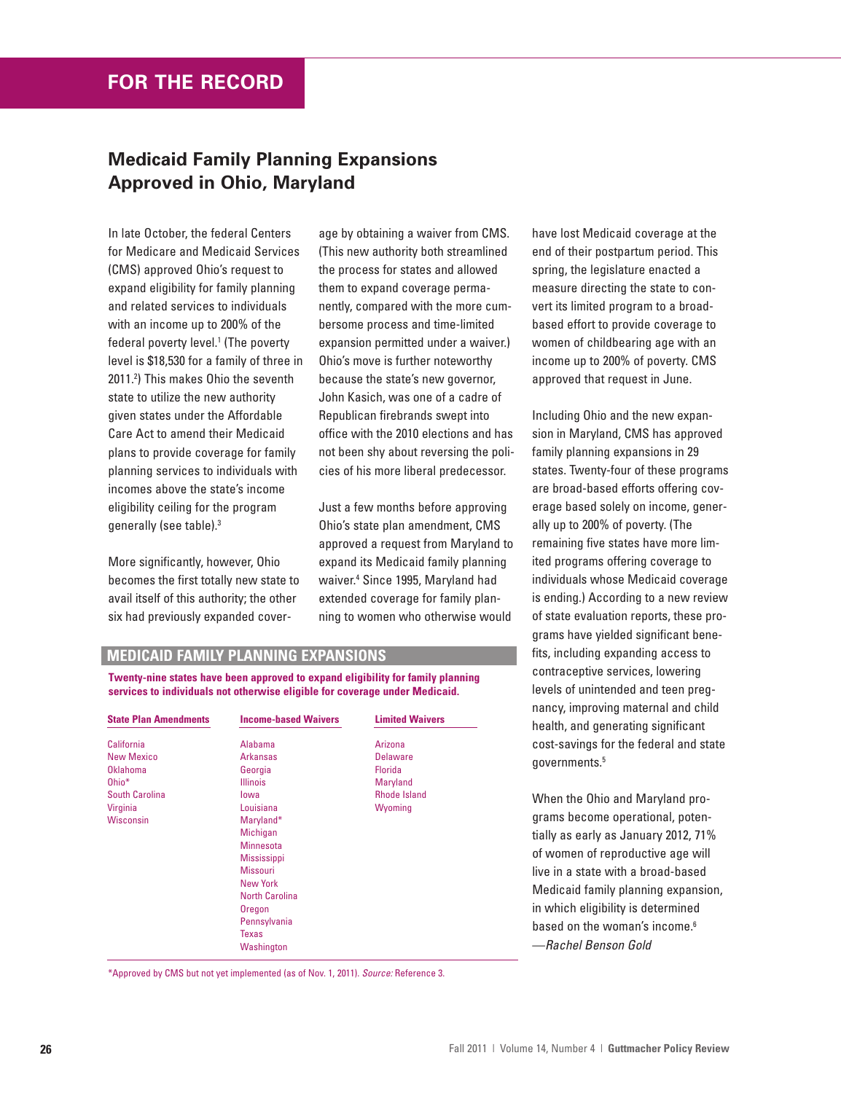## **Medicaid Family Planning Expansions Approved in Ohio, Maryland**

In late October, the federal Centers for Medicare and Medicaid Services (CMS) approved Ohio's request to expand eligibility for family planning and related services to individuals with an income up to 200% of the federal poverty level.<sup>1</sup> (The poverty level is \$18,530 for a family of three in 2011.2 ) This makes Ohio the seventh state to utilize the new authority given states under the Affordable Care Act to amend their Medicaid plans to provide coverage for family planning services to individuals with incomes above the state's income eligibility ceiling for the program generally (see table).3

More significantly, however, Ohio becomes the first totally new state to avail itself of this authority; the other six had previously expanded coverage by obtaining a waiver from CMS. (This new authority both streamlined the process for states and allowed them to expand coverage permanently, compared with the more cumbersome process and time-limited expansion permitted under a waiver.) Ohio's move is further noteworthy because the state's new governor, John Kasich, was one of a cadre of Republican firebrands swept into office with the 2010 elections and has not been shy about reversing the policies of his more liberal predecessor.

Just a few months before approving Ohio's state plan amendment, CMS approved a request from Maryland to expand its Medicaid family planning waiver.4 Since 1995, Maryland had extended coverage for family planning to women who otherwise would

have lost Medicaid coverage at the end of their postpartum period. This spring, the legislature enacted a measure directing the state to convert its limited program to a broadbased effort to provide coverage to women of childbearing age with an income up to 200% of poverty. CMS approved that request in June.

Including Ohio and the new expansion in Maryland, CMS has approved family planning expansions in 29 states. Twenty-four of these programs are broad-based efforts offering coverage based solely on income, generally up to 200% of poverty. (The remaining five states have more limited programs offering coverage to individuals whose Medicaid coverage is ending.) According to a new review of state evaluation reports, these programs have yielded significant benefits, including expanding access to contraceptive services, lowering levels of unintended and teen pregnancy, improving maternal and child health, and generating significant cost-savings for the federal and state governments.5

When the Ohio and Maryland programs become operational, potentially as early as January 2012, 71% of women of reproductive age will live in a state with a broad-based Medicaid family planning expansion, in which eligibility is determined based on the woman's income.<sup>6</sup> —Rachel Benson Gold

## **MEDICAID FAMILY PLANNING EXPANSIONS**

**Twenty-nine states have been approved to expand eligibility for family planning services to individuals not otherwise eligible for coverage under Medicaid.**

| <b>State Plan Amendments</b> | <b>Income-based Waivers</b> | <b>Limited Waivers</b> |
|------------------------------|-----------------------------|------------------------|
| California                   | Alabama                     | Arizona                |
| <b>New Mexico</b>            | <b>Arkansas</b>             | <b>Delaware</b>        |
| Oklahoma                     | Georgia                     | Florida                |
| Ohio*                        | <b>Illinois</b>             | Maryland               |
| <b>South Carolina</b>        | lowa                        | <b>Rhode Island</b>    |
| Virginia                     | Louisiana                   | Wyoming                |
| <b>Wisconsin</b>             | Maryland*                   |                        |
|                              | Michigan                    |                        |
|                              | <b>Minnesota</b>            |                        |
|                              | <b>Mississippi</b>          |                        |
|                              | <b>Missouri</b>             |                        |
|                              | <b>New York</b>             |                        |
|                              | North Carolina              |                        |
|                              | Oregon                      |                        |
|                              | Pennsylvania                |                        |
|                              | <b>Texas</b>                |                        |
|                              | Washington                  |                        |
|                              |                             |                        |

\*Approved by CMS but not yet implemented (as of Nov. 1, 2011). Source: Reference 3.